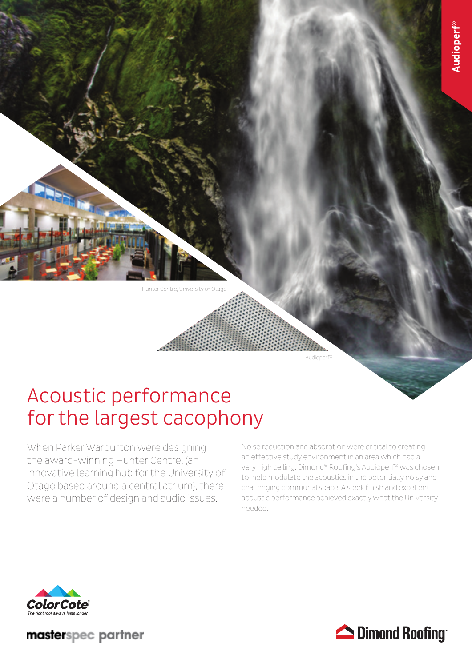Hunter Centre, University of Otago

# Acoustic performance for the largest cacophony

When Parker Warburton were designing the award-winning Hunter Centre, (an innovative learning hub for the University of Otago based around a central atrium), there were a number of design and audio issues.

Noise reduction and absorption were critical to creating an effective study environment in an area which had a very high ceiling. Dimond® Roofing's Audioperf® was chosen to help modulate the acoustics in the potentially noisy and challenging communal space. A sleek finish and excellent acoustic performance achieved exactly what the University needed.

Audioperf®



masterspec partner